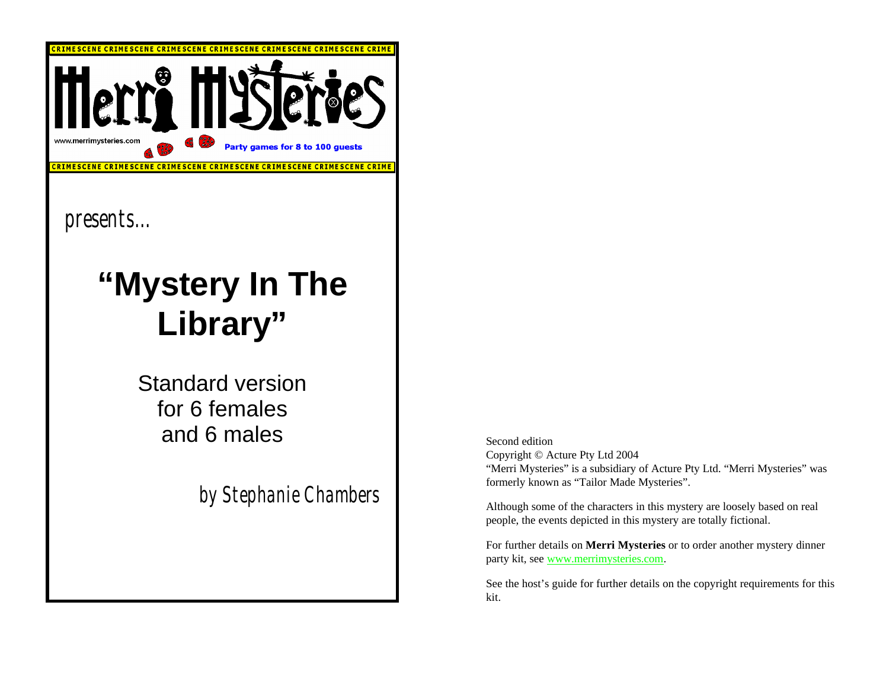

*presents...* 

### **"Mystery In The Library"**

Standard version for 6 females and 6 males

*by Stephanie Chambers*

Second edition Copyright © Acture Pty Ltd 2004 "Merri Mysteries" is a subsidiary of Acture Pty Ltd. "Merri Mysteries" was formerly known as "Tailor Made Mysteries".

Although some of the characters in this mystery are loosely based on real people, the events depicted in this mystery are totally fictional.

For further details on **Merri Mysteries** or to order another mystery dinner party kit, see www.merrimysteries.com.

See the host's guide for further details on the copyright requirements for this kit.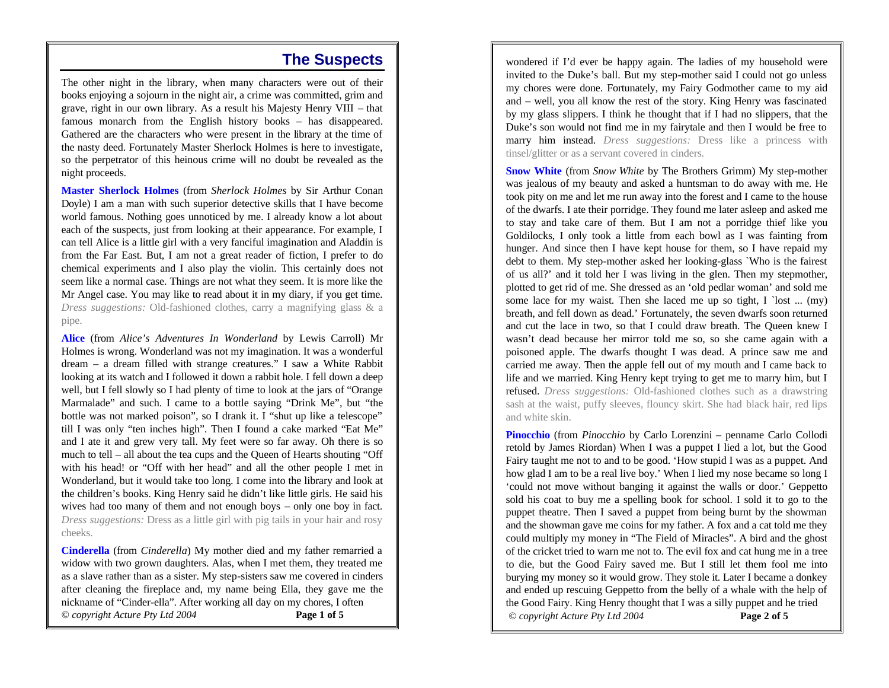#### **The Suspects**

The other night in the library, when many characters were out of their books enjoying a sojourn in the night air, a crime was committed, grim and grave, right in our own library. As a result his Majesty Henry VIII – that famous monarch from the English history books – has disappeared. Gathered are the characters who were present in the library at the time of the nasty deed. Fortunately Master Sherlock Holmes is here to investigate, so the perpetrator of this heinous crime will no doubt be revealed as the night proceeds.

**Master Sherlock Holmes** (from *Sherlock Holmes* by Sir Arthur Conan Doyle) I am a man with such superior detective skills that I have become world famous. Nothing goes unnoticed by me. I already know a lot about each of the suspects, just from looking at their appearance. For example, I can tell Alice is a little girl with a very fanciful imagination and Aladdin is from the Far East. But, I am not a great reader of fiction, I prefer to do chemical experiments and I also play the violin. This certainly does not seem like a normal case. Things are not what they seem. It is more like the Mr Angel case. You may like to read about it in my diary, if you get time. *Dress suggestions:* Old-fashioned clothes, carry a magnifying glass & a pipe.

**Alice** (from *Alice's Adventures In Wonderland* by Lewis Carroll) Mr Holmes is wrong. Wonderland was not my imagination. It was a wonderful dream – a dream filled with strange creatures." I saw a White Rabbit looking at its watch and I followed it down a rabbit hole. I fell down a deep well, but I fell slowly so I had plenty of time to look at the jars of "Orange Marmalade" and such. I came to a bottle saying "Drink Me", but "the bottle was not marked poison", so I drank it. I "shut up like a telescope" till I was only "ten inches high". Then I found a cake marked "Eat Me" and I ate it and grew very tall. My feet were so far away. Oh there is so much to tell – all about the tea cups and the Queen of Hearts shouting "Off with his head! or "Off with her head" and all the other people I met in Wonderland, but it would take too long. I come into the library and look at the children's books. King Henry said he didn't like little girls. He said his wives had too many of them and not enough boys – only one boy in fact. *Dress suggestions:* Dress as a little girl with pig tails in your hair and rosy cheeks.

**Cinderella** (from *Cinderella*) My mother died and my father remarried a widow with two grown daughters. Alas, when I met them, they treated me as a slave rather than as a sister. My step-sisters saw me covered in cinders after cleaning the fireplace and, my name being Ella, they gave me the nickname of "Cinder-ella". After working all day on my chores, I often *© copyright Acture Pty Ltd 2004* **Page 1 of 5**

wondered if I'd ever be happy again. The ladies of my household were invited to the Duke's ball. But my step-mother said I could not go unless my chores were done. Fortunately, my Fairy Godmother came to my aid and – well, you all know the rest of the story. King Henry was fascinated by my glass slippers. I think he thought that if I had no slippers, that the Duke's son would not find me in my fairytale and then I would be free to marry him instead. *Dress suggestions:* Dress like a princess with tinsel/glitter or as a servant covered in cinders.

**Snow White** (from *Snow White* by The Brothers Grimm) My step-mother was jealous of my beauty and asked a huntsman to do away with me. He took pity on me and let me run away into the forest and I came to the house of the dwarfs. I ate their porridge. They found me later asleep and asked me to stay and take care of them. But I am not a porridge thief like you Goldilocks, I only took a little from each bowl as I was fainting from hunger. And since then I have kept house for them, so I have repaid my debt to them. My step-mother asked her looking-glass `Who is the fairest of us all?' and it told her I was living in the glen. Then my stepmother, plotted to get rid of me. She dressed as an 'old pedlar woman' and sold me some lace for my waist. Then she laced me up so tight,  $I$  `lost ... (my) breath, and fell down as dead.' Fortunately, the seven dwarfs soon returned and cut the lace in two, so that I could draw breath. The Queen knew I wasn't dead because her mirror told me so, so she came again with a poisoned apple. The dwarfs thought I was dead. A prince saw me and carried me away. Then the apple fell out of my mouth and I came back to life and we married. King Henry kept trying to get me to marry him, but I refused. *Dress suggestions:* Old-fashioned clothes such as a drawstring sash at the waist, puffy sleeves, flouncy skirt. She had black hair, red lips and white skin.

**Pinocchio** (from *Pinocchio* by Carlo Lorenzini – penname Carlo Collodi retold by James Riordan) When I was a puppet I lied a lot, but the Good Fairy taught me not to and to be good. 'How stupid I was as a puppet. And how glad I am to be a real live boy.' When I lied my nose became so long I 'could not move without banging it against the walls or door.' Geppetto sold his coat to buy me a spelling book for school. I sold it to go to the puppet theatre. Then I saved a puppet from being burnt by the showman and the showman gave me coins for my father. A fox and a cat told me they could multiply my money in "The Field of Miracles". A bird and the ghost of the cricket tried to warn me not to. The evil fox and cat hung me in a tree to die, but the Good Fairy saved me. But I still let them fool me into burying my money so it would grow. They stole it. Later I became a donkey and ended up rescuing Geppetto from the belly of a whale with the help of the Good Fairy. King Henry thought that I was a silly puppet and he tried *© copyright Acture Pty Ltd 2004* **Page 2 of 5**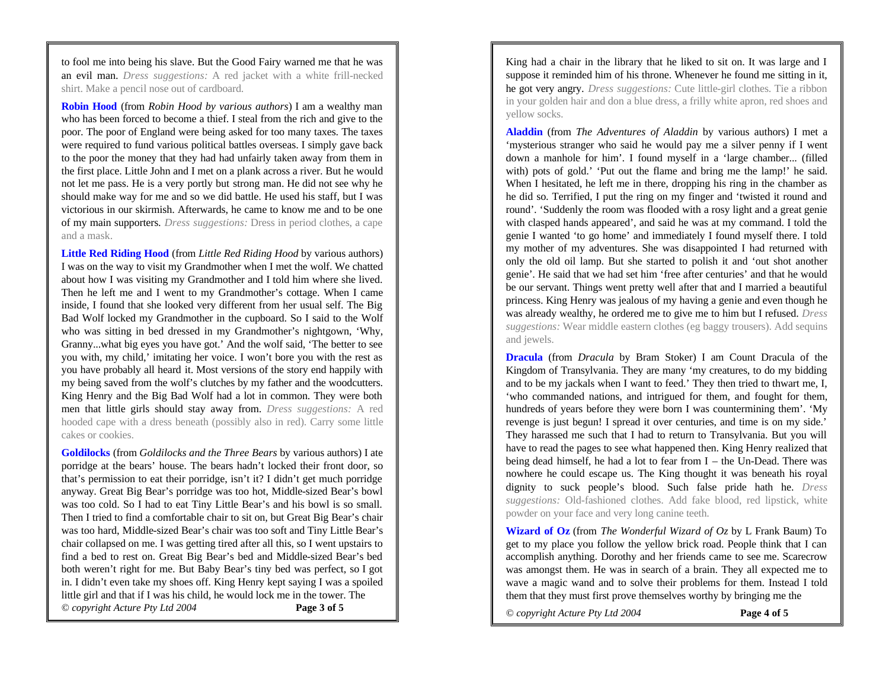to fool me into being his slave. But the Good Fairy warned me that he was an evil man. *Dress suggestions:* A red jacket with a white frill-necked shirt. Make a pencil nose out of cardboard.

**Robin Hood** (from *Robin Hood by various authors*) I am a wealthy man who has been forced to become a thief. I steal from the rich and give to the poor. The poor of England were being asked for too many taxes. The taxes were required to fund various political battles overseas. I simply gave back to the poor the money that they had had unfairly taken away from them in the first place. Little John and I met on a plank across a river. But he would not let me pass. He is a very portly but strong man. He did not see why he should make way for me and so we did battle. He used his staff, but I was victorious in our skirmish. Afterwards, he came to know me and to be one of my main supporters. *Dress suggestions:* Dress in period clothes, a cape and a mask.

**Little Red Riding Hood** (from *Little Red Riding Hood* by various authors) I was on the way to visit my Grandmother when I met the wolf. We chatted about how I was visiting my Grandmother and I told him where she lived. Then he left me and I went to my Grandmother's cottage. When I came inside, I found that she looked very different from her usual self. The Big Bad Wolf locked my Grandmother in the cupboard. So I said to the Wolf who was sitting in bed dressed in my Grandmother's nightgown, 'Why, Granny...what big eyes you have got.' And the wolf said, 'The better to see you with, my child,' imitating her voice. I won't bore you with the rest as you have probably all heard it. Most versions of the story end happily with my being saved from the wolf's clutches by my father and the woodcutters. King Henry and the Big Bad Wolf had a lot in common. They were both men that little girls should stay away from. *Dress suggestions:* A red hooded cape with a dress beneath (possibly also in red). Carry some little cakes or cookies.

**Goldilocks** (from *Goldilocks and the Three Bears* by various authors) I ate porridge at the bears' house. The bears hadn't locked their front door, so that's permission to eat their porridge, isn't it? I didn't get much porridge anyway. Great Big Bear's porridge was too hot, Middle-sized Bear's bowl was too cold. So I had to eat Tiny Little Bear's and his bowl is so small. Then I tried to find a comfortable chair to sit on, but Great Big Bear's chair was too hard, Middle-sized Bear's chair was too soft and Tiny Little Bear's chair collapsed on me. I was getting tired after all this, so I went upstairs to find a bed to rest on. Great Big Bear's bed and Middle-sized Bear's bed both weren't right for me. But Baby Bear's tiny bed was perfect, so I got in. I didn't even take my shoes off. King Henry kept saying I was a spoiled little girl and that if I was his child, he would lock me in the tower. The *© copyright Acture Pty Ltd 2004* **Page 3 of 5**

King had a chair in the library that he liked to sit on. It was large and I suppose it reminded him of his throne. Whenever he found me sitting in it, he got very angry. *Dress suggestions:* Cute little-girl clothes. Tie a ribbon in your golden hair and don a blue dress, a frilly white apron, red shoes and yellow socks.

**Aladdin** (from *The Adventures of Aladdin* by various authors) I met a 'mysterious stranger who said he would pay me a silver penny if I went down a manhole for him'. I found myself in a 'large chamber... (filled with) pots of gold.' 'Put out the flame and bring me the lamp!' he said. When I hesitated, he left me in there, dropping his ring in the chamber as he did so. Terrified, I put the ring on my finger and 'twisted it round and round'. 'Suddenly the room was flooded with a rosy light and a great genie with clasped hands appeared', and said he was at my command. I told the genie I wanted 'to go home' and immediately I found myself there. I told my mother of my adventures. She was disappointed I had returned with only the old oil lamp. But she started to polish it and 'out shot another genie'. He said that we had set him 'free after centuries' and that he would be our servant. Things went pretty well after that and I married a beautiful princess. King Henry was jealous of my having a genie and even though he was already wealthy, he ordered me to give me to him but I refused. *Dress suggestions:* Wear middle eastern clothes (eg baggy trousers). Add sequins and jewels.

**Dracula** (from *Dracula* by Bram Stoker) I am Count Dracula of the Kingdom of Transylvania. They are many 'my creatures, to do my bidding and to be my jackals when I want to feed.' They then tried to thwart me, I, 'who commanded nations, and intrigued for them, and fought for them, hundreds of years before they were born I was countermining them'. 'My revenge is just begun! I spread it over centuries, and time is on my side.' They harassed me such that I had to return to Transylvania. But you will have to read the pages to see what happened then. King Henry realized that being dead himself, he had a lot to fear from I – the Un-Dead. There was nowhere he could escape us. The King thought it was beneath his royal dignity to suck people's blood. Such false pride hath he. *Dress suggestions:* Old-fashioned clothes. Add fake blood, red lipstick, white powder on your face and very long canine teeth.

**Wizard of Oz** (from *The Wonderful Wizard of Oz* by L Frank Baum) To get to my place you follow the yellow brick road. People think that I can accomplish anything. Dorothy and her friends came to see me. Scarecrow was amongst them. He was in search of a brain. They all expected me to wave a magic wand and to solve their problems for them. Instead I told them that they must first prove themselves worthy by bringing me the

*© copyright Acture Pty Ltd 2004* **Page 4 of 5**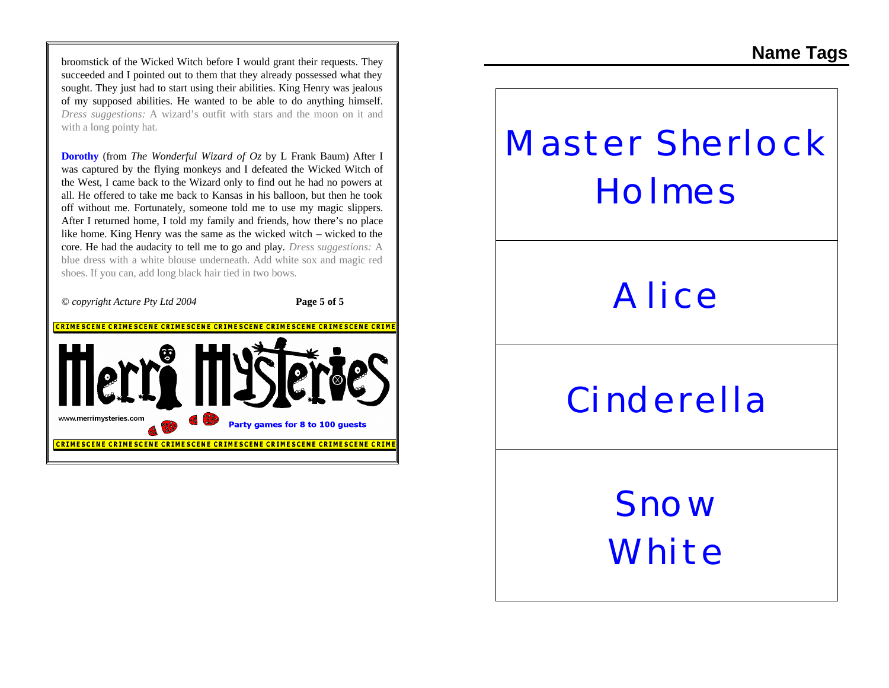broomstick of the Wicked Witch before I would grant their requests. They succeeded and I pointed out to them that they already possessed what they sought. They just had to start using their abilities. King Henry was jealous of my supposed abilities. He wanted to be able to do anything himself. *Dress suggestions:* A wizard's outfit with stars and the moon on it and with a long pointy hat.

**Dorothy** (from *The Wonderful Wizard of Oz* by L Frank Baum) After I was captured by the flying monkeys and I defeated the Wicked Witch of the West, I came back to the Wizard only to find out he had no powers at all. He offered to take me back to Kansas in his balloon, but then he took off without me. Fortunately, someone told me to use my magic slippers. After I returned home, I told my family and friends, how there's no place like home. King Henry was the same as the wicked witch – wicked to the core. He had the audacity to tell me to go and play. *Dress suggestions:* A blue dress with a white blouse underneath. Add white sox and magic red shoes. If you can, add long black hair tied in two bows.



## **Master Sherlock Holmes**

#### **Alice**

### **Cinderella**

**Snow White**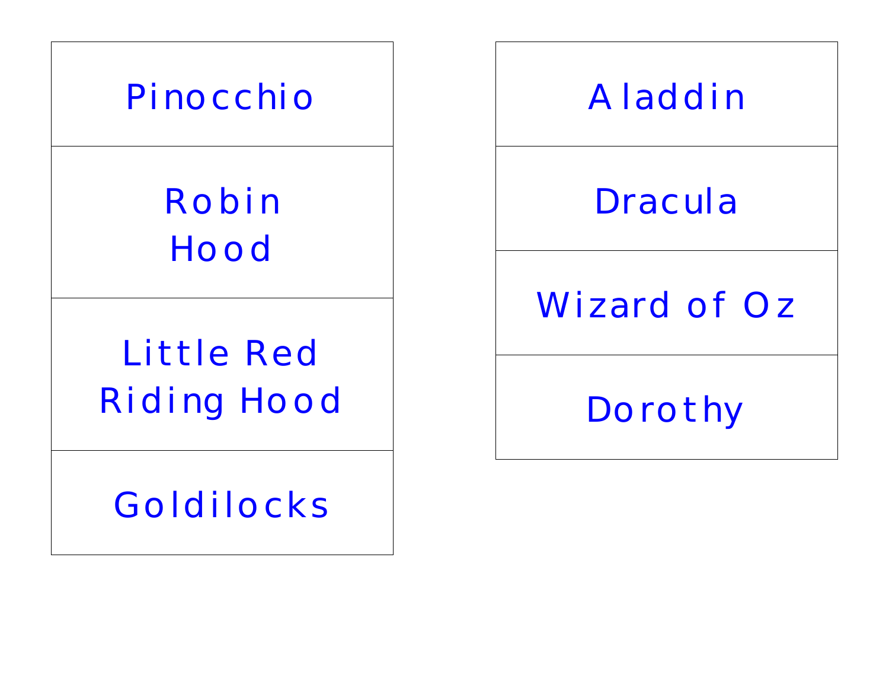

### **Aladdin**

### **Dracula**

#### **Wizard of Oz**

**Dorothy**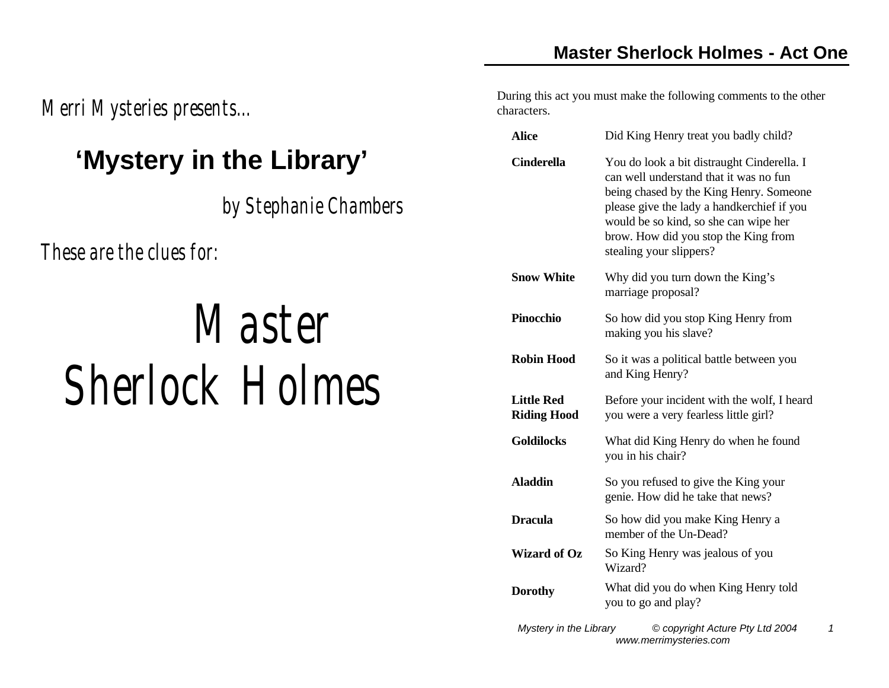*Merri Mysteries presents...* 

#### **'Mystery in the Library'**

*by Stephanie Chambers*

*These are the clues for:*

# *Master Sherlock Holmes*

During this act you must make the following comments to the other characters.

| Did King Henry treat you badly child?                                                                                                                                                                                                                                                     |
|-------------------------------------------------------------------------------------------------------------------------------------------------------------------------------------------------------------------------------------------------------------------------------------------|
| You do look a bit distraught Cinderella. I<br>can well understand that it was no fun<br>being chased by the King Henry. Someone<br>please give the lady a handkerchief if you<br>would be so kind, so she can wipe her<br>brow. How did you stop the King from<br>stealing your slippers? |
| Why did you turn down the King's<br>marriage proposal?                                                                                                                                                                                                                                    |
| So how did you stop King Henry from<br>making you his slave?                                                                                                                                                                                                                              |
| So it was a political battle between you<br>and King Henry?                                                                                                                                                                                                                               |
| Before your incident with the wolf, I heard<br>you were a very fearless little girl?                                                                                                                                                                                                      |
| What did King Henry do when he found<br>you in his chair?                                                                                                                                                                                                                                 |
| So you refused to give the King your<br>genie. How did he take that news?                                                                                                                                                                                                                 |
| So how did you make King Henry a<br>member of the Un-Dead?                                                                                                                                                                                                                                |
| So King Henry was jealous of you<br>Wizard?                                                                                                                                                                                                                                               |
| What did you do when King Henry told<br>you to go and play?                                                                                                                                                                                                                               |
|                                                                                                                                                                                                                                                                                           |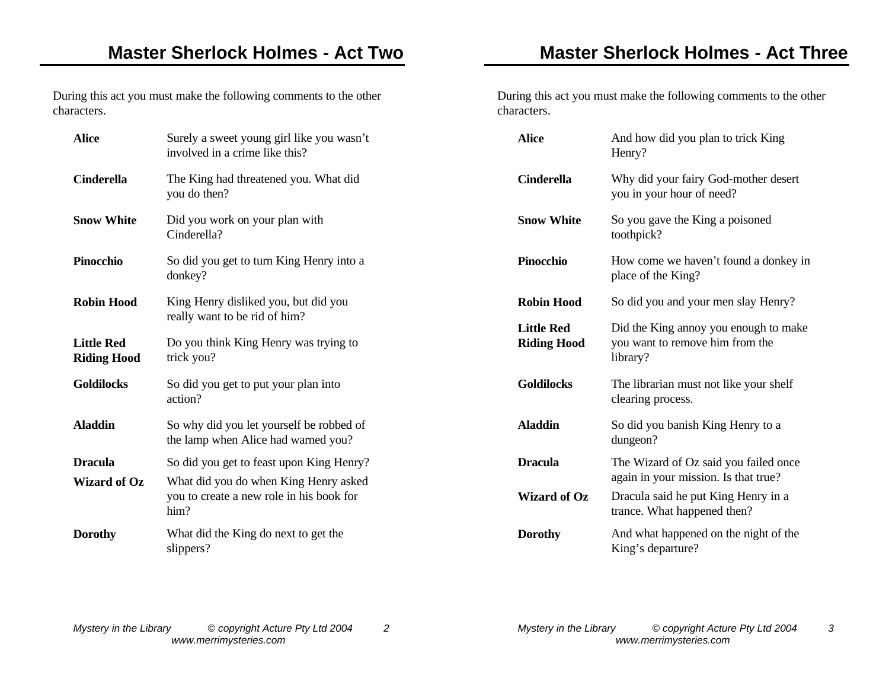During this act you must make the following comments to the other characters.

| <b>Alice</b>                            | Surely a sweet young girl like you wasn't<br>involved in a crime like this?               |
|-----------------------------------------|-------------------------------------------------------------------------------------------|
| <b>Cinderella</b>                       | The King had threatened you. What did<br>you do then?                                     |
| <b>Snow White</b>                       | Did you work on your plan with<br>Cinderella?                                             |
| Pinocchio                               | So did you get to turn King Henry into a<br>donkey?                                       |
| <b>Robin Hood</b>                       | King Henry disliked you, but did you<br>really want to be rid of him?                     |
| <b>Little Red</b><br><b>Riding Hood</b> | Do you think King Henry was trying to<br>trick you?                                       |
| <b>Goldilocks</b>                       | So did you get to put your plan into<br>action?                                           |
| <b>Aladdin</b>                          | So why did you let yourself be robbed of<br>the lamp when Alice had warned you?           |
| <b>Dracula</b>                          | So did you get to feast upon King Henry?                                                  |
| <b>Wizard of Oz</b>                     | What did you do when King Henry asked<br>you to create a new role in his book for<br>him? |
| <b>Dorothy</b>                          | What did the King do next to get the<br>slippers?                                         |

During this act you must make the following comments to the other characters.

| <b>Alice</b>                            | And how did you plan to trick King<br>Henry?                                         |
|-----------------------------------------|--------------------------------------------------------------------------------------|
| <b>Cinderella</b>                       | Why did your fairy God-mother desert<br>you in your hour of need?                    |
| <b>Snow White</b>                       | So you gave the King a poisoned<br>toothpick?                                        |
| <b>Pinocchio</b>                        | How come we haven't found a donkey in<br>place of the King?                          |
| <b>Robin Hood</b>                       | So did you and your men slay Henry?                                                  |
| <b>Little Red</b><br><b>Riding Hood</b> | Did the King annoy you enough to make<br>you want to remove him from the<br>library? |
| <b>Goldilocks</b>                       | The librarian must not like your shelf<br>clearing process.                          |
| <b>Aladdin</b>                          | So did you banish King Henry to a<br>dungeon?                                        |
| <b>Dracula</b>                          | The Wizard of Oz said you failed once<br>again in your mission. Is that true?        |
| <b>Wizard of Oz</b>                     | Dracula said he put King Henry in a<br>trance. What happened then?                   |
| <b>Dorothy</b>                          | And what happened on the night of the<br>King's departure?                           |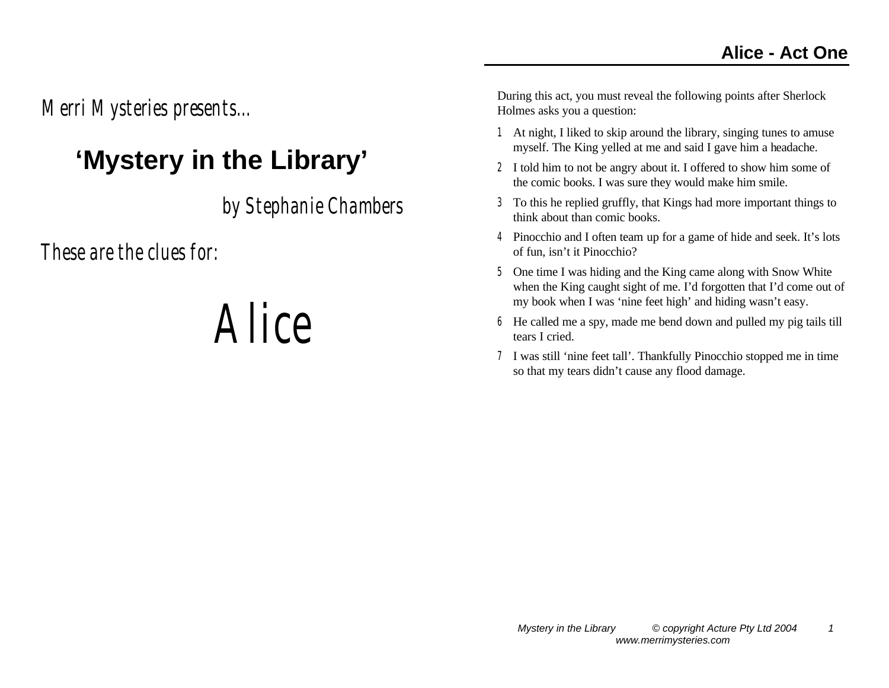*Merri Mysteries presents...* 

#### **'Mystery in the Library'**

*by Stephanie Chambers*

*These are the clues for:*

# *Alice*

- 1 At night, I liked to skip around the library, singing tunes to amuse myself. The King yelled at me and said I gave him a headache.
- 2 I told him to not be angry about it. I offered to show him some of the comic books. I was sure they would make him smile.
- 3 To this he replied gruffly, that Kings had more important things to think about than comic books.
- 4 Pinocchio and I often team up for a game of hide and seek. It's lots of fun, isn't it Pinocchio?
- 5 One time I was hiding and the King came along with Snow White when the King caught sight of me. I'd forgotten that I'd come out of my book when I was 'nine feet high' and hiding wasn't easy.
- 6 He called me a spy, made me bend down and pulled my pig tails till tears I cried.
- 7 I was still 'nine feet tall'. Thankfully Pinocchio stopped me in time so that my tears didn't cause any flood damage.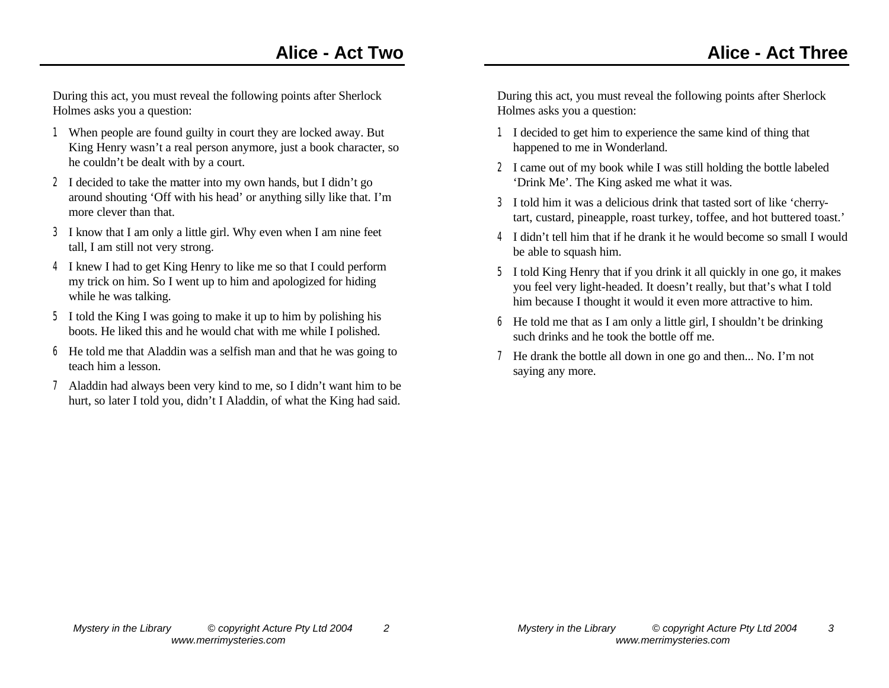During this act, you must reveal the following points after Sherlock Holmes asks you a question:

- 1 When people are found guilty in court they are locked away. But King Henry wasn't a real person anymore, just a book character, so he couldn't be dealt with by a court.
- 2 I decided to take the matter into my own hands, but I didn't go around shouting 'Off with his head' or anything silly like that. I'm more clever than that.
- 3 I know that I am only a little girl. Why even when I am nine feet tall, I am still not very strong.
- 4 I knew I had to get King Henry to like me so that I could perform my trick on him. So I went up to him and apologized for hiding while he was talking.
- 5 I told the King I was going to make it up to him by polishing his boots. He liked this and he would chat with me while I polished.
- 6 He told me that Aladdin was a selfish man and that he was going to teach him a lesson.
- 7 Aladdin had always been very kind to me, so I didn't want him to be hurt, so later I told you, didn't I Aladdin, of what the King had said.

- 1 I decided to get him to experience the same kind of thing that happened to me in Wonderland.
- 2 I came out of my book while I was still holding the bottle labeled 'Drink Me'. The King asked me what it was.
- 3 I told him it was a delicious drink that tasted sort of like 'cherrytart, custard, pineapple, roast turkey, toffee, and hot buttered toast.'
- 4 I didn't tell him that if he drank it he would become so small I would be able to squash him.
- 5 I told King Henry that if you drink it all quickly in one go, it makes you feel very light-headed. It doesn't really, but that's what I told him because I thought it would it even more attractive to him.
- 6 He told me that as I am only a little girl, I shouldn't be drinking such drinks and he took the bottle off me.
- 7 He drank the bottle all down in one go and then... No. I'm not saying any more.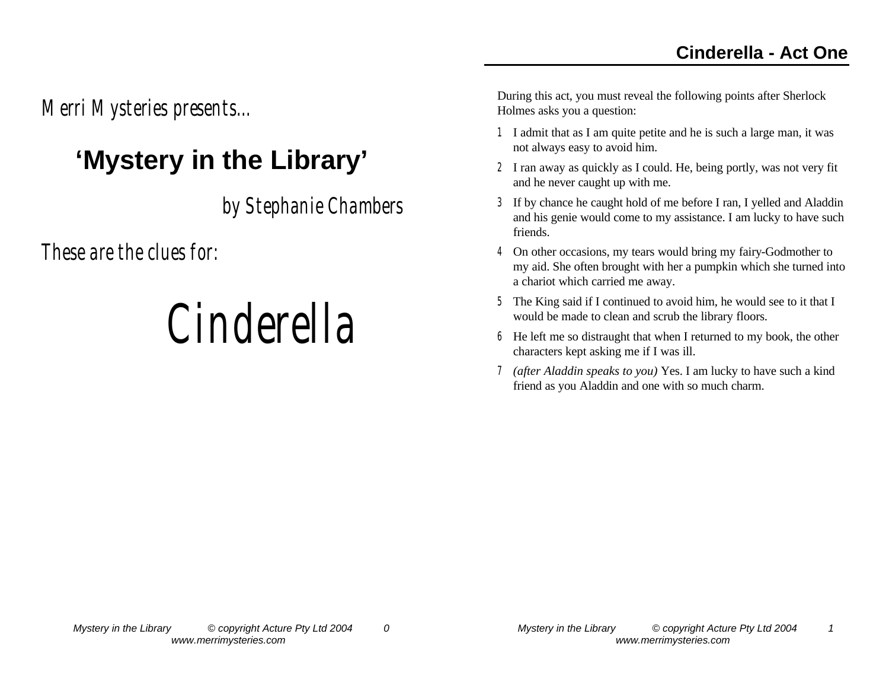*Merri Mysteries presents...* 

#### **'Mystery in the Library'**

*by Stephanie Chambers*

*These are the clues for:*

# *Cinderella*

- 1 I admit that as I am quite petite and he is such a large man, it was not always easy to avoid him.
- 2 I ran away as quickly as I could. He, being portly, was not very fit and he never caught up with me.
- 3 If by chance he caught hold of me before I ran, I yelled and Aladdin and his genie would come to my assistance. I am lucky to have such friends.
- 4 On other occasions, my tears would bring my fairy-Godmother to my aid. She often brought with her a pumpkin which she turned into a chariot which carried me away.
- 5 The King said if I continued to avoid him, he would see to it that I would be made to clean and scrub the library floors.
- 6 He left me so distraught that when I returned to my book, the other characters kept asking me if I was ill.
- 7 *(after Aladdin speaks to you)* Yes. I am lucky to have such a kind friend as you Aladdin and one with so much charm.